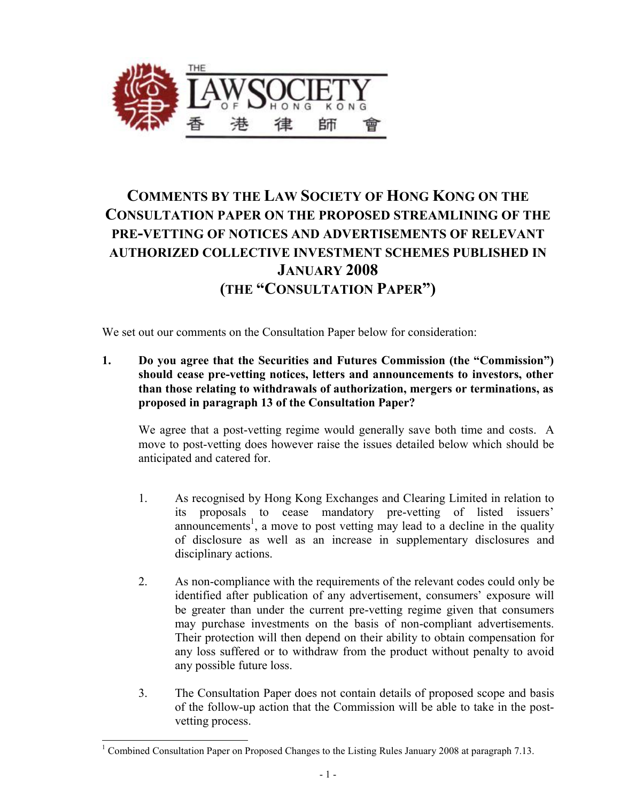

# **COMMENTS BY THE LAW SOCIETY OF HONG KONG ON THE CONSULTATION PAPER ON THE PROPOSED STREAMLINING OF THE PRE-VETTING OF NOTICES AND ADVERTISEMENTS OF RELEVANT AUTHORIZED COLLECTIVE INVESTMENT SCHEMES PUBLISHED IN JANUARY 2008 (THE "CONSULTATION PAPER")**

We set out our comments on the Consultation Paper below for consideration:

**1. Do you agree that the Securities and Futures Commission (the "Commission") should cease pre-vetting notices, letters and announcements to investors, other than those relating to withdrawals of authorization, mergers or terminations, as proposed in paragraph 13 of the Consultation Paper?** 

We agree that a post-vetting regime would generally save both time and costs. A move to post-vetting does however raise the issues detailed below which should be anticipated and catered for.

- 1. As recognised by Hong Kong Exchanges and Clearing Limited in relation to its proposals to cease mandatory pre-vetting of listed issuers' announcements<sup>1</sup>, a move to post vetting may lead to a decline in the quality of disclosure as well as an increase in supplementary disclosures and disciplinary actions.
- 2. As non-compliance with the requirements of the relevant codes could only be identified after publication of any advertisement, consumers' exposure will be greater than under the current pre-vetting regime given that consumers may purchase investments on the basis of non-compliant advertisements. Their protection will then depend on their ability to obtain compensation for any loss suffered or to withdraw from the product without penalty to avoid any possible future loss.
- 3. The Consultation Paper does not contain details of proposed scope and basis of the follow-up action that the Commission will be able to take in the postvetting process.

l <sup>1</sup> Combined Consultation Paper on Proposed Changes to the Listing Rules January 2008 at paragraph 7.13.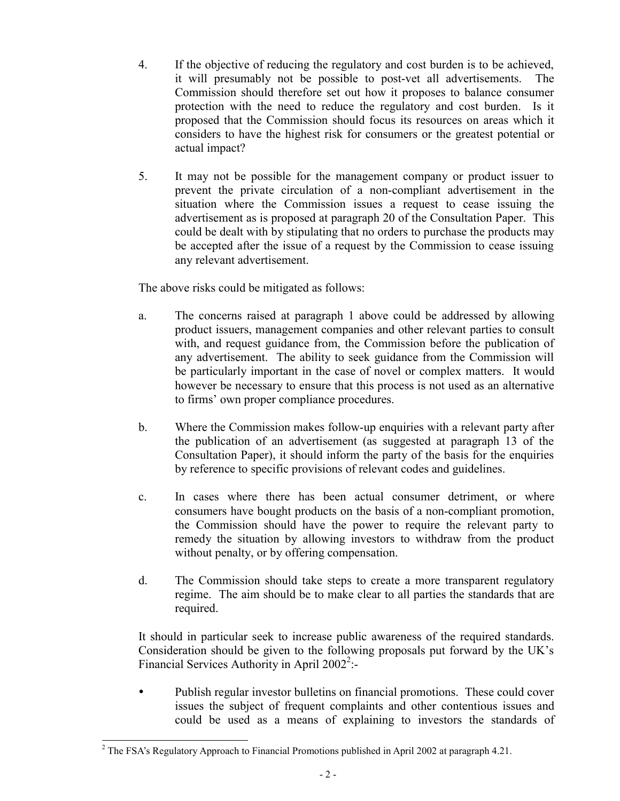- 4. If the objective of reducing the regulatory and cost burden is to be achieved, it will presumably not be possible to post-vet all advertisements. The Commission should therefore set out how it proposes to balance consumer protection with the need to reduce the regulatory and cost burden. Is it proposed that the Commission should focus its resources on areas which it considers to have the highest risk for consumers or the greatest potential or actual impact?
- 5. It may not be possible for the management company or product issuer to prevent the private circulation of a non-compliant advertisement in the situation where the Commission issues a request to cease issuing the advertisement as is proposed at paragraph 20 of the Consultation Paper. This could be dealt with by stipulating that no orders to purchase the products may be accepted after the issue of a request by the Commission to cease issuing any relevant advertisement.

The above risks could be mitigated as follows:

- a. The concerns raised at paragraph 1 above could be addressed by allowing product issuers, management companies and other relevant parties to consult with, and request guidance from, the Commission before the publication of any advertisement. The ability to seek guidance from the Commission will be particularly important in the case of novel or complex matters. It would however be necessary to ensure that this process is not used as an alternative to firms' own proper compliance procedures.
- b. Where the Commission makes follow-up enquiries with a relevant party after the publication of an advertisement (as suggested at paragraph 13 of the Consultation Paper), it should inform the party of the basis for the enquiries by reference to specific provisions of relevant codes and guidelines.
- c. In cases where there has been actual consumer detriment, or where consumers have bought products on the basis of a non-compliant promotion, the Commission should have the power to require the relevant party to remedy the situation by allowing investors to withdraw from the product without penalty, or by offering compensation.
- d. The Commission should take steps to create a more transparent regulatory regime. The aim should be to make clear to all parties the standards that are required.

It should in particular seek to increase public awareness of the required standards. Consideration should be given to the following proposals put forward by the UK's Financial Services Authority in April  $2002^2$ :-

ü Publish regular investor bulletins on financial promotions. These could cover issues the subject of frequent complaints and other contentious issues and could be used as a means of explaining to investors the standards of

l <sup>2</sup> The FSA's Regulatory Approach to Financial Promotions published in April 2002 at paragraph 4.21.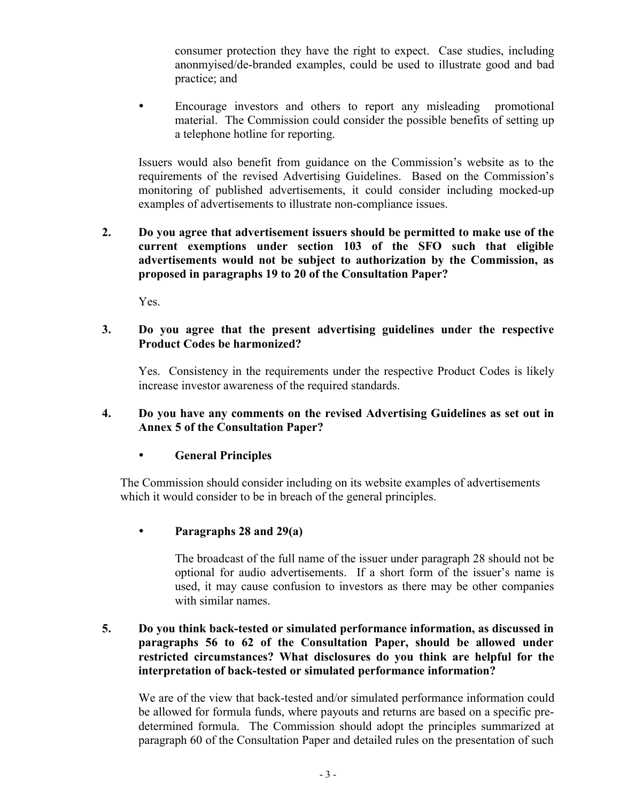consumer protection they have the right to expect. Case studies, including anonmyised/de-branded examples, could be used to illustrate good and bad practice; and

ü Encourage investors and others to report any misleading promotional material. The Commission could consider the possible benefits of setting up a telephone hotline for reporting.

Issuers would also benefit from guidance on the Commission's website as to the requirements of the revised Advertising Guidelines. Based on the Commission's monitoring of published advertisements, it could consider including mocked-up examples of advertisements to illustrate non-compliance issues.

**2. Do you agree that advertisement issuers should be permitted to make use of the current exemptions under section 103 of the SFO such that eligible advertisements would not be subject to authorization by the Commission, as proposed in paragraphs 19 to 20 of the Consultation Paper?** 

Yes.

#### **3. Do you agree that the present advertising guidelines under the respective Product Codes be harmonized?**

Yes. Consistency in the requirements under the respective Product Codes is likely increase investor awareness of the required standards.

## **4. Do you have any comments on the revised Advertising Guidelines as set out in Annex 5 of the Consultation Paper?**

## ü **General Principles**

The Commission should consider including on its website examples of advertisements which it would consider to be in breach of the general principles.

ü **Paragraphs 28 and 29(a)** 

The broadcast of the full name of the issuer under paragraph 28 should not be optional for audio advertisements. If a short form of the issuer's name is used, it may cause confusion to investors as there may be other companies with similar names.

## **5. Do you think back-tested or simulated performance information, as discussed in paragraphs 56 to 62 of the Consultation Paper, should be allowed under restricted circumstances? What disclosures do you think are helpful for the interpretation of back-tested or simulated performance information?**

We are of the view that back-tested and/or simulated performance information could be allowed for formula funds, where payouts and returns are based on a specific predetermined formula. The Commission should adopt the principles summarized at paragraph 60 of the Consultation Paper and detailed rules on the presentation of such